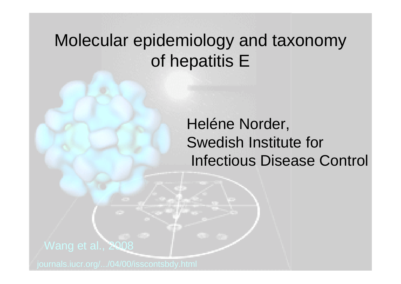# Molecular epidemiology and taxonomy of hepatitis E

Heléne Norder, Swedish Institute for Infectious Disease Control

### Wang et al., 2008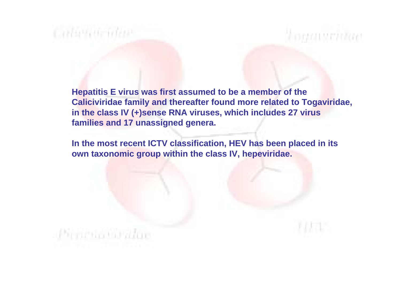# Callivide ideas

Pirricha his alue

**Hepatitis E virus was first assumed to be a member of the Caliciviridae family and thereafter found more related to Togaviridae, in the class IV (+)sense RNA viruses, which includes 27 virus families and 17 unassigned genera.**

homatsridae

**In the most recent ICTV classification, HEV has been placed in its own taxonomic group within the class IV, hepeviridae.**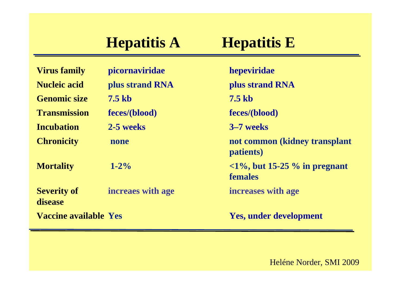# **Hepatitis A Hepatitis E**

| <b>Virus family</b>           | picornaviridae    | hepeviridae                                                                              |
|-------------------------------|-------------------|------------------------------------------------------------------------------------------|
| <b>Nucleic acid</b>           | plus strand RNA   | plus strand RNA                                                                          |
| <b>Genomic size</b>           | <b>7.5 kb</b>     | <b>7.5 kb</b>                                                                            |
| <b>Transmission</b>           | feces/(blood)     | feces/(blood)                                                                            |
| <b>Incubation</b>             | 2-5 weeks         | 3–7 weeks                                                                                |
| <b>Chronicity</b>             | none              | not common (kidney transplant<br>patients)                                               |
| <b>Mortality</b>              | $1 - 2\%$         | $\langle 1\%, \text{but } 15\text{-}25\% \text{ in pregnant } \rangle$<br><b>females</b> |
| <b>Severity of</b><br>disease | increaes with age | increases with age                                                                       |
| <b>Vaccine available Yes</b>  |                   | <b>Yes, under development</b>                                                            |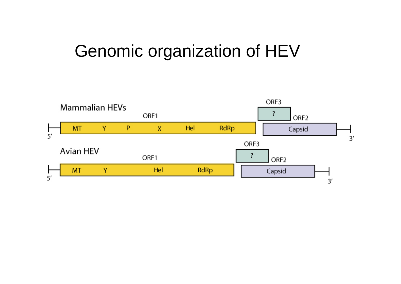# Genomic organization of HEV

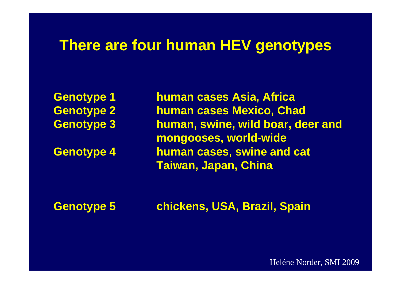### **There are four human HEV genotypes**

**Genotype 1 human cases Asia, Africa Genotype 2 human cases Mexico, Chad Genotype 3 human, swine, wild boar, deer and mongooses, world-wide Genotype 4 human cases, swine and cat Taiwan, Japan, China**

**Genotype 5 chickens, USA, Brazil, Spain**

Heléne Norder, SMI 2009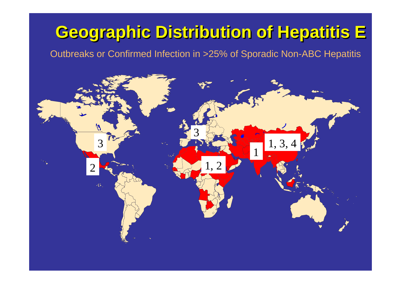# **Geographic Distribution of Hepatitis E Geographic Distribution of Hepatitis E**

Outbreaks or Confirmed Infection in >25% of Sporadic Non-ABC Hepatitis

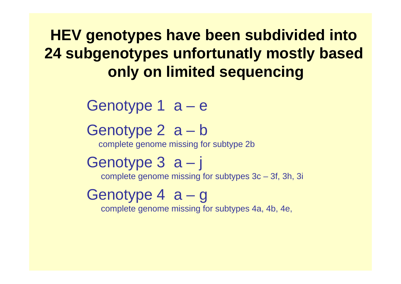**HEV genotypes have been subdivided into 24 subgenotypes unfortunatly mostly based only on limited sequencing**

Genotype 1 a – e

Genotype 2 a – b

complete genome missing for subtype 2b

Genotype 3 a – j complete genome missing for subtypes 3c – 3f, 3h, 3i

# Genotype 4 a – g

complete genome missing for subtypes 4a, 4b, 4e,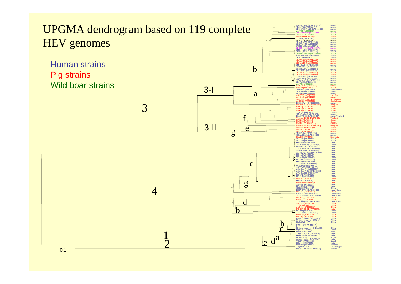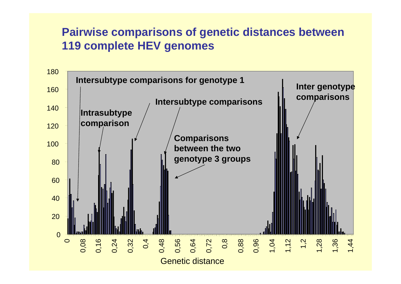### **Pairwise comparisons of genetic distances between 119 complete HEV genomes**

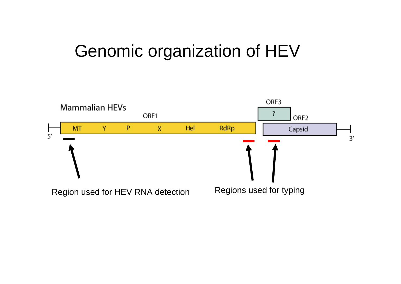# Genomic organization of HEV

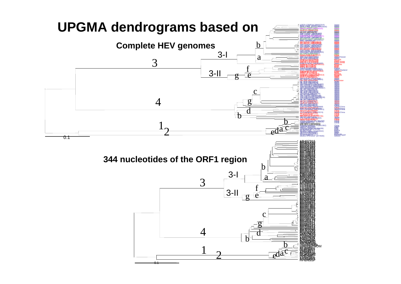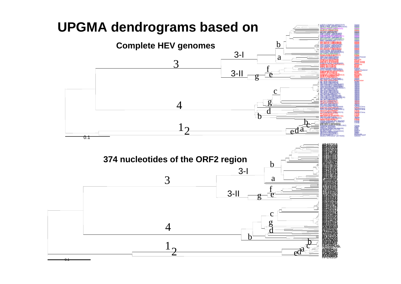

0.1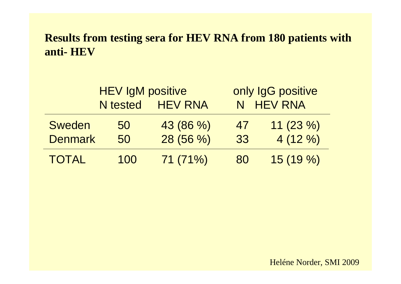#### **Results from testing sera for HEV RNA from 180 patients with anti- HEV**

|                | <b>HEV IgM positive</b> |                  | only IgG positive |            |  |
|----------------|-------------------------|------------------|-------------------|------------|--|
|                |                         | N tested HEV RNA | N HEV RNA         |            |  |
| <b>Sweden</b>  | 50                      | 43 (86 %)        | 47                | $11(23\%)$ |  |
| <b>Denmark</b> | 50                      | 28 (56 %)        | 33                | $4(12\%)$  |  |
| <b>TOTAL</b>   | 100                     | 71(71%)          | 80                | 15(19%)    |  |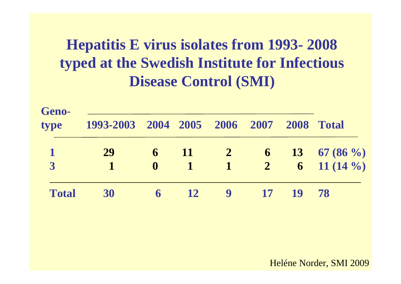# **Hepatitis E virus isolates from 1993- 2008 typed at the Swedish Institute for Infectious Disease Control (SMI)**

| Geno-<br>type  | 1993-2003 2004 2005 2006 2007 2008 Total |              |                 |                  |                 |    |                                 |
|----------------|------------------------------------------|--------------|-----------------|------------------|-----------------|----|---------------------------------|
| $\mathbf 1$    | 29                                       | $\mathbf{6}$ |                 | $\frac{11}{2}$ 2 |                 |    | 6 13 67 (86 $\%$ )              |
| $\overline{3}$ |                                          | $\mathbf 0$  | $\mathbf 1$     |                  |                 |    | $1 \t 2 \t 6 \t 11 \t (14\t %)$ |
| <b>Total</b>   | 30                                       | 6            | $\overline{12}$ | $\overline{9}$   | $\overline{17}$ | 19 | 78                              |

Heléne Norder, SMI 2009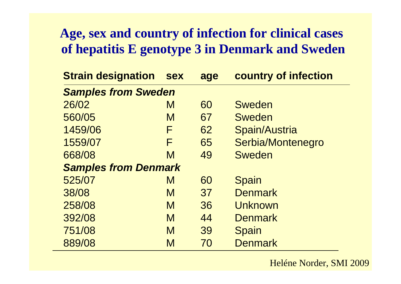### **Age, sex and country of infection for clinical cases of hepatitis E genotype 3 in Denmark and Sweden**

| <b>Strain designation</b>   | <b>sex</b> | age | country of infection |  |  |
|-----------------------------|------------|-----|----------------------|--|--|
| <b>Samples from Sweden</b>  |            |     |                      |  |  |
| 26/02                       | M          | 60  | <b>Sweden</b>        |  |  |
| 560/05                      | M          | 67  | <b>Sweden</b>        |  |  |
| 1459/06                     | F          | 62  | Spain/Austria        |  |  |
| 1559/07                     | F          | 65  | Serbia/Montenegro    |  |  |
| 668/08                      | M          | 49  | <b>Sweden</b>        |  |  |
| <b>Samples from Denmark</b> |            |     |                      |  |  |
| 525/07                      | M          | 60  | <b>Spain</b>         |  |  |
| 38/08                       | M          | 37  | <b>Denmark</b>       |  |  |
| 258/08                      | M          | 36  | Unknown              |  |  |
| 392/08                      | M          | 44  | <b>Denmark</b>       |  |  |
| 751/08                      | M          | 39  | <b>Spain</b>         |  |  |
| 889/08                      | M          | 70  | <b>Denmark</b>       |  |  |

#### Heléne Norder, SMI 2009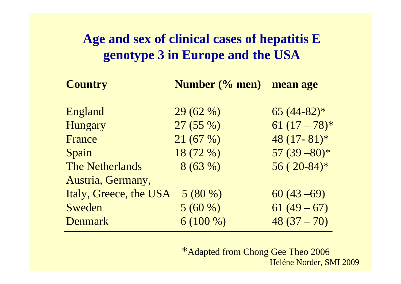### **Age and sex of clinical cases of hepatitis E genotype 3 in Europe and the USA**

| Number (% men) mean age             |                  |
|-------------------------------------|------------------|
|                                     |                  |
|                                     | $65(44-82)*$     |
| 27(55%)                             | $61 (17 - 78)$ * |
| 21(67%)                             | $48(17 - 81)*$   |
| 18 (72 %)                           | $57(39-80)*$     |
| 8(63%)                              | $56(20-84)*$     |
|                                     |                  |
| Italy, Greece, the USA<br>$5(80\%)$ | $60(43-69)$      |
| 5(60%)                              | $61(49-67)$      |
| $6(100\%)$                          | $48(37-70)$      |
|                                     | 29(62%)          |

\*Adapted from Chong Gee Theo 2006 Heléne Norder, SMI 2009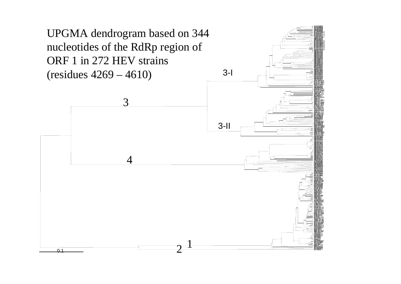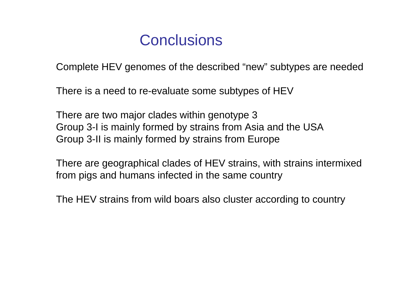## **Conclusions**

Complete HEV genomes of the described "new" subtypes are needed

There is a need to re-evaluate some subtypes of HEV

There are two major clades within genotype 3 Group 3-I is mainly formed by strains from Asia and the USA Group 3-II is mainly formed by strains from Europe

There are geographical clades of HEV strains, with strains intermixed from pigs and humans infected in the same country

The HEV strains from wild boars also cluster according to country